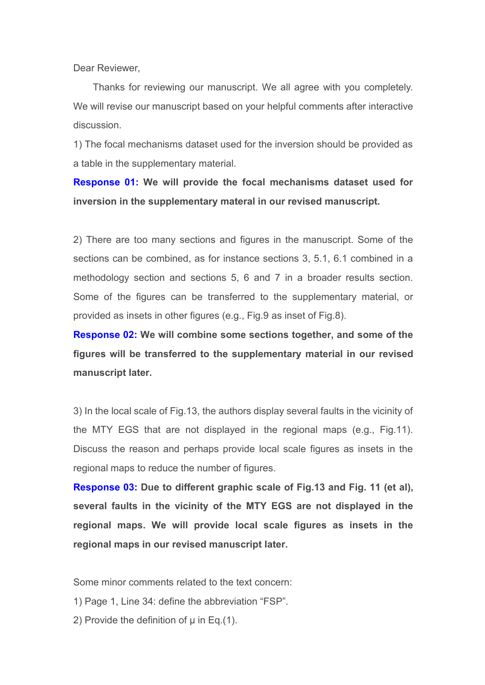Dear Reviewer,

Thanks for reviewing our manuscript. We all agree with you completely. We will revise our manuscript based on your helpful comments after interactive discussion.

1) The focal mechanisms dataset used for the inversion should be provided as a table in the supplementary material.

**Response 01: We will provide the focal mechanisms dataset used for inversion in the supplementary materal in our revised manuscript.**

2) There are too many sections and figures in the manuscript. Some of the sections can be combined, as for instance sections 3, 5.1, 6.1 combined in a methodology section and sections 5, 6 and 7 in a broader results section. Some of the figures can be transferred to the supplementary material, or provided as insets in other figures (e.g., Fig.9 as inset of Fig.8).

**Response 02: We will combine some sections together, and some of the figures will be transferred to the supplementary material in our revised manuscript later.**

3) In the local scale of Fig.13, the authors display several faults in the vicinity of the MTY EGS that are not displayed in the regional maps (e.g., Fig.11). Discuss the reason and perhaps provide local scale figures as insets in the regional maps to reduce the number of figures.

**Response 03: Due to different graphic scale of Fig.13 and Fig. 11 (et al), several faults in the vicinity of the MTY EGS are not displayed in the regional maps. We will provide local scale figures as insets in the regional maps in our revised manuscript later.**

Some minor comments related to the text concern:

- 1) Page 1, Line 34: define the abbreviation "FSP".
- 2) Provide the definition of μ in Eq.(1).